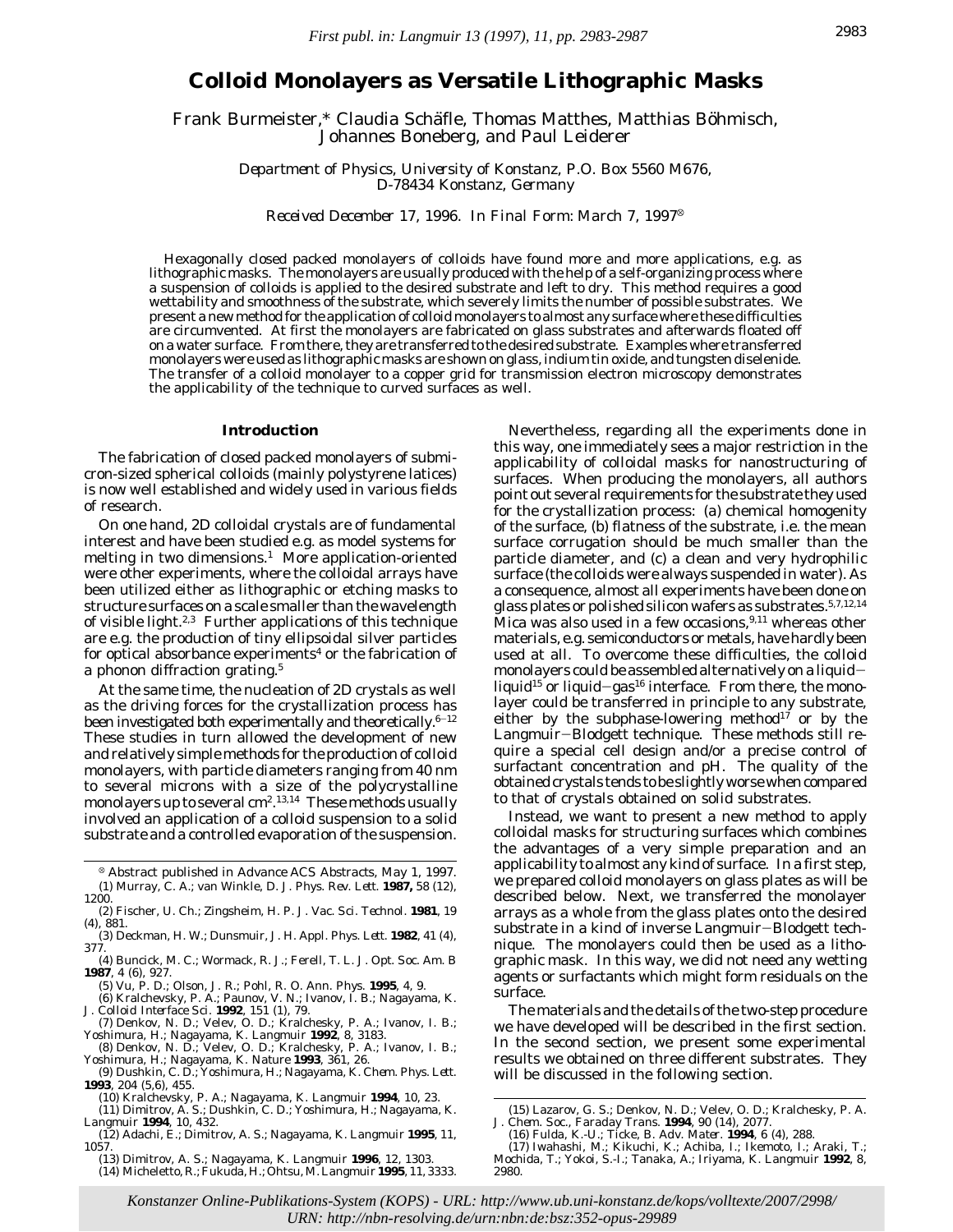# **Colloid Monolayers as Versatile Lithographic Masks**

Frank Burmeister,\* Claudia Schäfle, Thomas Matthes, Matthias Böhmisch, Johannes Boneberg, and Paul Leiderer

> *Department of Physics, University of Konstanz, P.O. Box 5560 M676, D-78434 Konstanz, Germany*

*Received December 17, 1996. In Final Form: March 7, 1997*<sup>8</sup>

Hexagonally closed packed monolayers of colloids have found more and more applications, e.g. as lithographic masks. The monolayers are usually produced with the help of a self-organizing process where a suspension of colloids is applied to the desired substrate and left to dry. This method requires a good wettability and smoothness of the substrate, which severely limits the number of possible substrates. We present a new method for the application of colloid monolayers to almost any surface where these difficulties are circumvented. At first the monolayers are fabricated on glass substrates and afterwards floated off on a water surface. From there, they are transferred to the desired substrate. Examples where transferred monolayers were used as lithographic masks are shown on glass, indium tin oxide, and tungsten diselenide. The transfer of a colloid monolayer to a copper grid for transmission electron microscopy demonstrates the applicability of the technique to curved surfaces as well.

#### **Introduction**

The fabrication of closed packed monolayers of submicron-sized spherical colloids (mainly polystyrene latices) is now well established and widely used in various fields of research.

On one hand, 2D colloidal crystals are of fundamental interest and have been studied e.g. as model systems for melting in two dimensions.<sup>1</sup> More application-oriented were other experiments, where the colloidal arrays have been utilized either as lithographic or etching masks to structure surfaces on a scale smaller than the wavelength of visible light. $2.3$  Further applications of this technique are e.g. the production of tiny ellipsoidal silver particles for optical absorbance experiments<sup>4</sup> or the fabrication of a phonon diffraction grating.<sup>5</sup>

At the same time, the nucleation of 2D crystals as well as the driving forces for the crystallization process has been investigated both experimentally and theoretically.  $^{6-12}$ These studies in turn allowed the development of new and relatively simple methods for the production of colloid monolayers, with particle diameters ranging from 40 nm to several microns with a size of the polycrystalline monolayers up to several cm<sup>2</sup>.<sup>13,14</sup> These methods usually involved an application of a colloid suspension to a solid substrate and a controlled evaporation of the suspension.

- <sup>X</sup> Abstract published in *Advance ACS Abstracts,* May 1, 1997. (1) Murray, C. A.; van Winkle, D. J. *Phys. Rev. Lett.* **1987,** *58* (12), 1200.
- (2) Fischer, U. Ch.; Zingsheim, H. P. *J. Vac. Sci. Technol.* **1981**, *19* (4), 881.
- (3) Deckman, H. W.; Dunsmuir, J. H. *Appl. Phys. Lett.* **1982**, *41* (4), 377.
- (4) Buncick, M. C.; Wormack, R. J.; Ferell, T. L. *J. Opt. Soc. Am. B* **1987**, *4* (6), 927.
- (5) Vu, P. D.; Olson, J. R.; Pohl, R. O. *Ann. Phys.* **1995**, *4*, 9.
- (6) Kralchevsky, P. A.; Paunov, V. N.; Ivanov, I. B.; Nagayama, K*. J. Colloid Interface Sci.* **1992**, *151* (1), 79. (7) Denkov, N. D.; Velev, O. D.; Kralchesky, P. A.; Ivanov, I. B.;
- 
- Yoshimura, H.; Nagayama, K. *Langmuir* **1992**, *8*, 3183.<br>(8) Denkov, N. D.; Velev, O. D.; Kralchesky, P. A.; Ivanov, I. B.;<br>Yoshimura, H.; Nagayama, K. *Nature* **1993**, *361, 26.*<br>(9) Dushkin, C. D.; Yoshimura, H.; Nagaya
- **1993**, *204* (5,6), 455. (10) Kralchevsky, P. A.; Nagayama, K. *Langmuir* **1994**, *10*, 23.
- 

- (12) Adachi, E.; Dimitrov, A. S.; Nagayama, K. *Langmuir* **1995**, *11*, 1057.
- (13) Dimitrov, A. S.; Nagayama, K. *Langmuir* **1996**, *12*, 1303. (14) Micheletto, R.; Fukuda, H.; Ohtsu, M.*Langmuir* **1995**, *11*, 3333.

Nevertheless, regarding all the experiments done in this way, one immediately sees a major restriction in the applicability of colloidal masks for nanostructuring of surfaces. When producing the monolayers, all authors point out several requirements for the substrate they used for the crystallization process: (a) chemical homogenity of the surface, (b) flatness of the substrate, i.e. the mean surface corrugation should be much smaller than the particle diameter, and (c) a clean and very hydrophilic surface (the colloids were always suspended in water). As a consequence, almost all experiments have been done on glass plates or polished silicon wafers as substrates.5,7,12,14 Mica was also used in a few occasions,  $9,11$  whereas other materials, e.g. semiconductors or metals, have hardly been used at all. To overcome these difficulties, the colloid monolayers could be assembled alternatively on a liquidliquid<sup>15</sup> or liquid-gas<sup>16</sup> interface. From there, the monolayer could be transferred in principle to any substrate, either by the subphase-lowering method<sup>17</sup> or by the Langmuir-Blodgett technique. These methods still require a special cell design and/or a precise control of surfactant concentration and pH. The quality of the obtained crystals tends to be slightly worse when compared to that of crystals obtained on solid substrates.

Instead, we want to present a new method to apply colloidal masks for structuring surfaces which combines the advantages of a very simple preparation and an applicability to almost any kind of surface. In a first step, we prepared colloid monolayers on glass plates as will be described below. Next, we transferred the monolayer arrays as a whole from the glass plates onto the desired substrate in a kind of inverse Langmuir-Blodgett technique. The monolayers could then be used as a lithographic mask. In this way, we did not need any wetting agents or surfactants which might form residuals on the surface.

The materials and the details of the two-step procedure we have developed will be described in the first section. In the second section, we present some experimental results we obtained on three different substrates. They will be discussed in the following section.

Konstanzer Online-Publikations-System (KOPS) - URL: http://www.ub.uni-konstanz.de/kops/volltexte/2007/2998/ *URN:<http://nbn-resolving.de/urn:nbn:de:bsz:352-opus-29989>*

<sup>(11)</sup> Dimitrov, A. S.; Dushkin, C. D.; Yoshimura, H.; Nagayama, K. *Langmuir* **1994**, *10*, 432.

<sup>(15)</sup> Lazarov, G. S.; Denkov, N. D.; Velev, O. D.; Kralchesky, P. A. *J. Chem. Soc., Faraday Trans*. **1994**, *90* (14), 2077.

<sup>(16)</sup> Fulda, K.-U.; Ticke, B. *Adv. Mater.* **1994**, *6* (4), 288.

<sup>(17)</sup> Iwahashi, M.; Kikuchi, K.; Achiba, I.; Ikemoto, I.; Araki, T.; Mochida, T.; Yokoi, S.-I.; Tanaka, A.; Iriyama, K. *Langmuir* **1992**, *8*, 2980.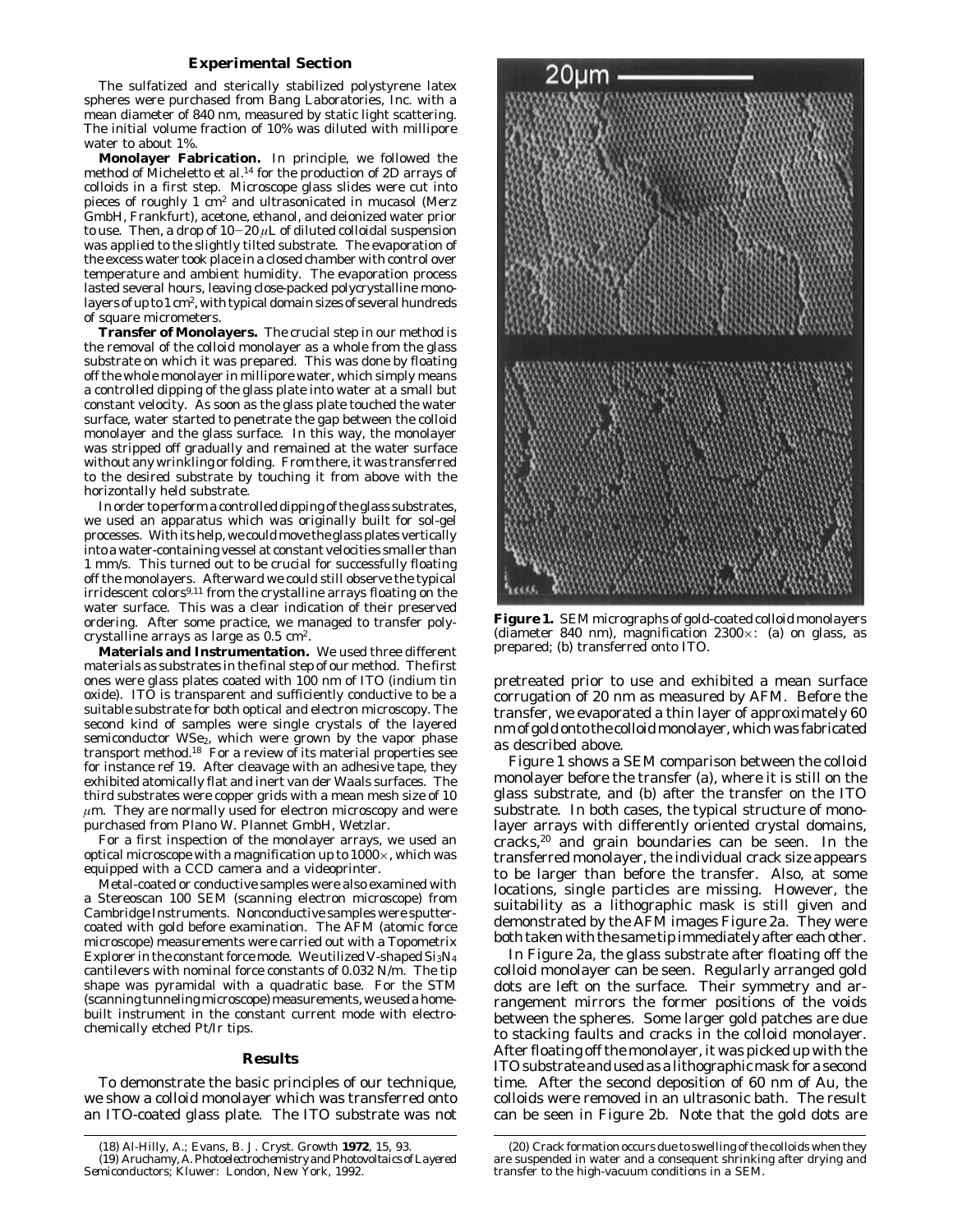## **Experimental Section**

The sulfatized and sterically stabilized polystyrene latex spheres were purchased from Bang Laboratories, Inc. with a mean diameter of 840 nm, measured by static light scattering. The initial volume fraction of 10% was diluted with millipore water to about 1%.

**Monolayer Fabrication.** In principle, we followed the method of Micheletto et al.<sup>14</sup> for the production of 2D arrays of colloids in a first step. Microscope glass slides were cut into pieces of roughly 1 cm2 and ultrasonicated in mucasol (Merz GmbH, Frankfurt), acetone, ethanol, and deionized water prior to use. Then, a drop of  $10-20 \mu L$  of diluted colloidal suspension was applied to the slightly tilted substrate. The evaporation of the excess water took place in a closed chamber with control over temperature and ambient humidity. The evaporation process lasted several hours, leaving close-packed polycrystalline monolayers of up to 1 cm2, with typical domain sizes of several hundreds of square micrometers.

**Transfer of Monolayers.** The crucial step in our method is the removal of the colloid monolayer as a whole from the glass substrate on which it was prepared. This was done by floating off the whole monolayer in millipore water, which simply means a controlled dipping of the glass plate into water at a small but constant velocity. As soon as the glass plate touched the water surface, water started to penetrate the gap between the colloid monolayer and the glass surface. In this way, the monolayer was stripped off gradually and remained at the water surface without any wrinkling or folding. From there, it was transferred to the desired substrate by touching it from above with the horizontally held substrate.

In order to perform a controlled dipping of the glass substrates, we used an apparatus which was originally built for sol-gel processes. With its help, we could move the glass plates vertically into a water-containing vessel at constant velocities smaller than 1 mm/s. This turned out to be crucial for successfully floating off the monolayers. Afterward we could still observe the typical irridescent colors<sup>9,11</sup> from the crystalline arrays floating on the water surface. This was a clear indication of their preserved ordering. After some practice, we managed to transfer polycrystalline arrays as large as 0.5 cm2.

**Materials and Instrumentation.** We used three different materials as substrates in the final step of our method. The first ones were glass plates coated with 100 nm of ITO (indium tin oxide). ITO is transparent and sufficiently conductive to be a suitable substrate for both optical and electron microscopy. The second kind of samples were single crystals of the layered semiconductor WSe<sub>2</sub>, which were grown by the vapor phase transport method.18 For a review of its material properties see for instance ref 19. After cleavage with an adhesive tape, they exhibited atomically flat and inert van der Waals surfaces. The third substrates were copper grids with a mean mesh size of 10  $\mu$ m. They are normally used for electron microscopy and were purchased from Plano W. Plannet GmbH, Wetzlar.

For a first inspection of the monolayer arrays, we used an optical microscope with a magnification up to  $1000 \times$ , which was equipped with a CCD camera and a videoprinter.

Metal-coated or conductive samples were also examined with a Stereoscan 100 SEM (scanning electron microscope) from Cambridge Instruments. Nonconductive samples were sputtercoated with gold before examination. The AFM (atomic force microscope) measurements were carried out with a Topometrix Explorer in the constant force mode. We utilized V-shaped  $Si<sub>3</sub>N<sub>4</sub>$ cantilevers with nominal force constants of 0.032 N/m. The tip shape was pyramidal with a quadratic base. For the STM (scanning tunneling microscope) measurements, we used a homebuilt instrument in the constant current mode with electrochemically etched Pt/Ir tips.

#### **Results**

To demonstrate the basic principles of our technique, we show a colloid monolayer which was transferred onto an ITO-coated glass plate. The ITO substrate was not



**Figure 1.** SEM micrographs of gold-coated colloid monolayers (diameter 840 nm), magnification 2300 $\times$ : (a) on glass, as prepared; (b) transferred onto ITO.

pretreated prior to use and exhibited a mean surface corrugation of 20 nm as measured by AFM. Before the transfer, we evaporated a thin layer of approximately 60 nm of gold onto the colloidmonolayer, which was fabricated as described above.

Figure 1 shows a SEM comparison between the colloid monolayer before the transfer (a), where it is still on the glass substrate, and (b) after the transfer on the ITO substrate. In both cases, the typical structure of monolayer arrays with differently oriented crystal domains, cracks,20 and grain boundaries can be seen. In the transferred monolayer, the individual crack size appears to be larger than before the transfer. Also, at some locations, single particles are missing. However, the suitability as a lithographic mask is still given and demonstrated by the AFM images Figure 2a. They were both taken with the same tip immediately after each other.

In Figure 2a, the glass substrate after floating off the colloid monolayer can be seen. Regularly arranged gold dots are left on the surface. Their symmetry and arrangement mirrors the former positions of the voids between the spheres. Some larger gold patches are due to stacking faults and cracks in the colloid monolayer. After floating off the monolayer, it was picked up with the ITO substrate and used as a lithographic mask for a second time. After the second deposition of 60 nm of Au, the colloids were removed in an ultrasonic bath. The result can be seen in Figure 2b. Note that the gold dots are

<sup>(18)</sup> Al-Hilly, A.; Evans, B. *J. Cryst. Growth* **1972**, *15*, 93. (19) Aruchamy, A.*Photoelectrochemistry and Photovoltaics of Layered Semiconductors;* Kluwer: London, New York, 1992.

<sup>(20)</sup> Crack formation occurs due to swelling of the colloids when they are suspended in water and a consequent shrinking after drying and transfer to the high-vacuum conditions in a SEM.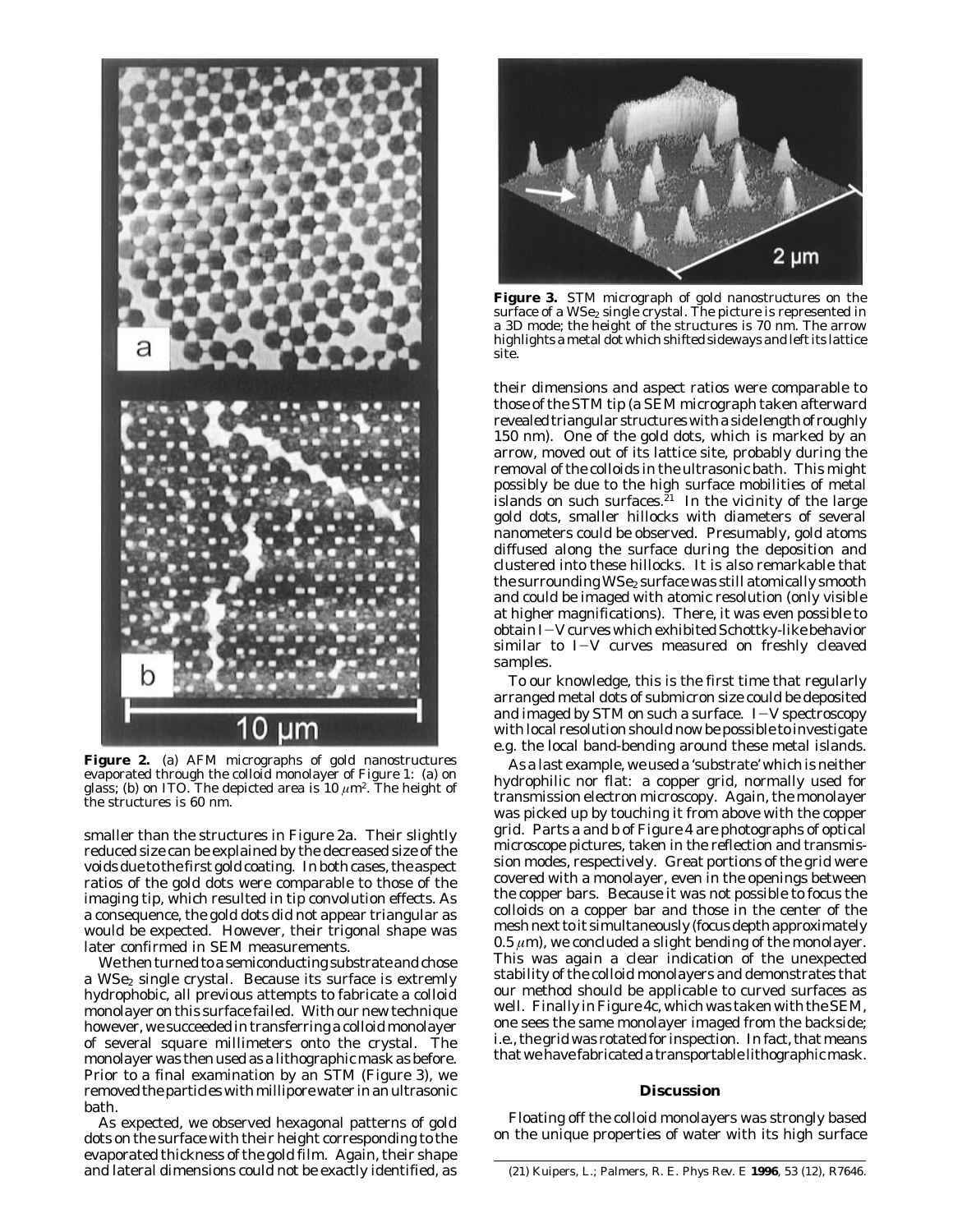

**Figure 2.** (a) AFM micrographs of gold nanostructures evaporated through the colloid monolayer of Figure 1: (a) on glass; (b) on ITO. The depicted area is 10 *µ*m2. The height of the structures is 60 nm.

smaller than the structures in Figure 2a. Their slightly reduced size can be explained by the decreased size of the voids due to the first gold coating. In both cases, the aspect ratios of the gold dots were comparable to those of the imaging tip, which resulted in tip convolution effects. As a consequence, the gold dots did not appear triangular as would be expected. However, their trigonal shape was later confirmed in SEM measurements.

We then turned to a semiconducting substrate and chose a WSe<sub>2</sub> single crystal. Because its surface is extremly hydrophobic, all previous attempts to fabricate a colloid monolayer on this surface failed. With our new technique however, we succeeded in transferring a colloid monolayer of several square millimeters onto the crystal. The monolayer was then used as a lithographic mask as before. Prior to a final examination by an STM (Figure 3), we removed the particles withmillipore water in an ultrasonic bath.

As expected, we observed hexagonal patterns of gold dots on the surface with their height corresponding to the evaporated thickness of the gold film. Again, their shape and lateral dimensions could not be exactly identified, as



**Figure 3.** STM micrograph of gold nanostructures on the surface of a  $WSe_2$  single crystal. The picture is represented in a 3D mode; the height of the structures is 70 nm. The arrow highlights a metal dot which shifted sideways and left its lattice site.

their dimensions and aspect ratios were comparable to those of the STM tip (a SEM micrograph taken afterward revealed triangular structures with a side length of roughly 150 nm). One of the gold dots, which is marked by an arrow, moved out of its lattice site, probably during the removal of the colloids in the ultrasonic bath. This might possibly be due to the high surface mobilities of metal islands on such surfaces.<sup>21</sup> In the vicinity of the large gold dots, smaller hillocks with diameters of several nanometers could be observed. Presumably, gold atoms diffused along the surface during the deposition and clustered into these hillocks. It is also remarkable that the surrounding WSe<sub>2</sub> surface was still atomically smooth and could be imaged with atomic resolution (only visible at higher magnifications). There, it was even possible to obtain *I*-*V* curves which exhibited Schottky-like behavior similar to *I*-*V* curves measured on freshly cleaved samples.

To our knowledge, this is the first time that regularly arranged metal dots of submicron size could be deposited and imaged by STM on such a surface. *I*-*V* spectroscopy with local resolution should now be possible to investigate e.g. the local band-bending around these metal islands.

As a last example, we used a 'substrate' which is neither hydrophilic nor flat: a copper grid, normally used for transmission electron microscopy. Again, the monolayer was picked up by touching it from above with the copper grid. Parts a and b of Figure 4 are photographs of optical microscope pictures, taken in the reflection and transmission modes, respectively. Great portions of the grid were covered with a monolayer, even in the openings between the copper bars. Because it was not possible to focus the colloids on a copper bar and those in the center of the mesh next to it simultaneously (focus depth approximately  $0.5 \mu m$ ), we concluded a slight bending of the monolayer. This was again a clear indication of the unexpected stability of the colloid monolayers and demonstrates that our method should be applicable to curved surfaces as well. Finally in Figure 4c, which was taken with the SEM, one sees the same monolayer imaged from the backside; i.e., the grid was rotated for inspection. In fact, that means that we have fabricated a transportable lithographicmask.

## **Discussion**

Floating off the colloid monolayers was strongly based on the unique properties of water with its high surface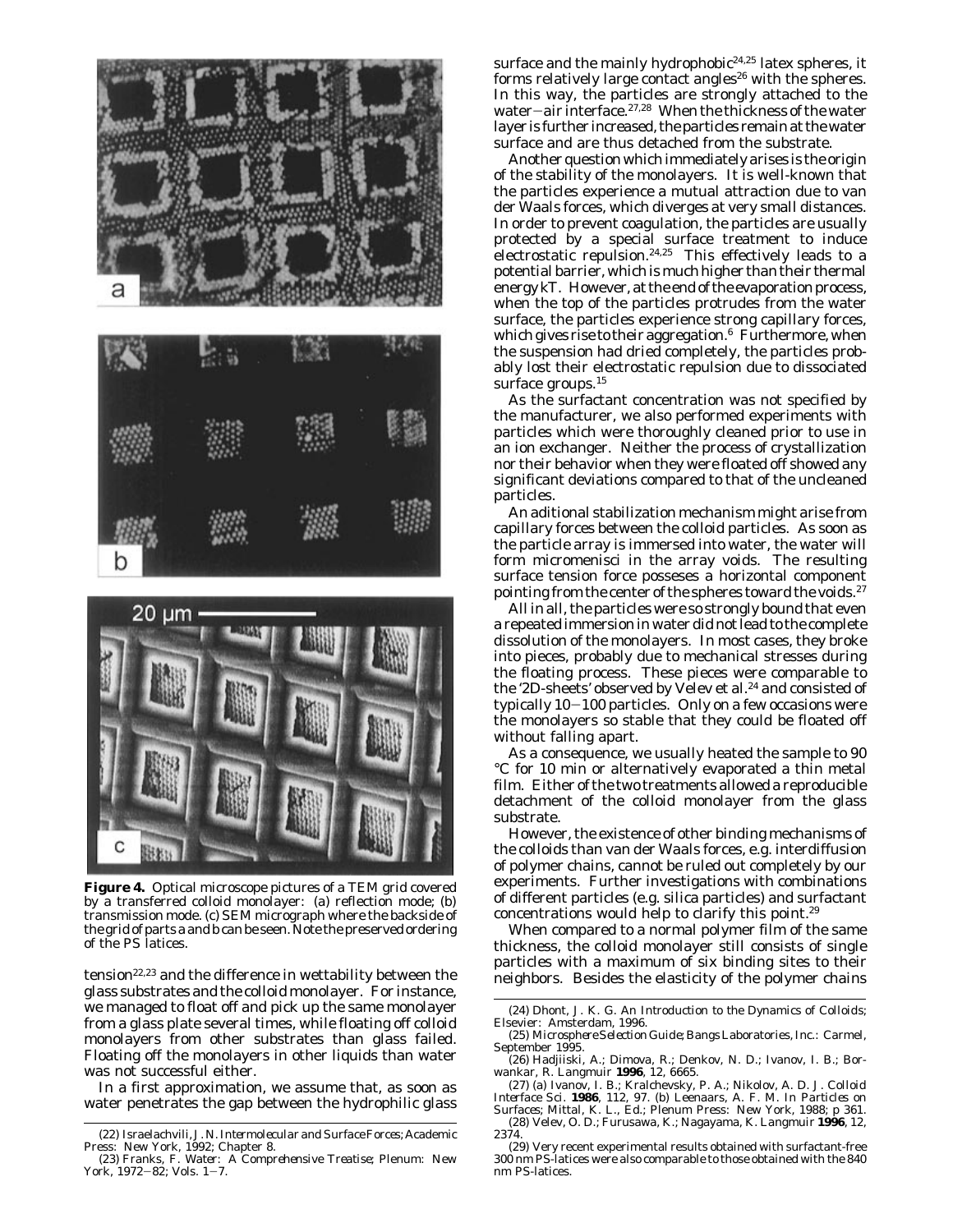



**Figure 4.** Optical microscope pictures of a TEM grid covered by a transferred colloid monolayer: (a) reflection mode; (b) transmission mode. (c) SEM micrograph where the backside of the grid of parts a and b can be seen. Note the preserved ordering of the PS latices.

tension22,23 and the difference in wettability between the glass substrates and the colloid monolayer. For instance, we managed to float off and pick up the same monolayer from a glass plate several times, while floating off colloid monolayers from other substrates than glass failed. Floating off the monolayers in other liquids than water was not successful either.

In a first approximation, we assume that, as soon as water penetrates the gap between the hydrophilic glass surface and the mainly hydrophobic<sup>24,25</sup> latex spheres, it forms relatively large contact angles<sup>26</sup> with the spheres. In this way, the particles are strongly attached to the water-air interface.<sup>27,28</sup> When the thickness of the water layer is further increased, the particles remain at the water surface and are thus detached from the substrate.

Another question which immediately arises is the origin of the stability of the monolayers. It is well-known that the particles experience a mutual attraction due to van der Waals forces, which diverges at very small distances. In order to prevent coagulation, the particles are usually protected by a special surface treatment to induce electrostatic repulsion.<sup>24,25</sup> This effectively leads to a potential barrier, which is much higher than their thermal energy *kT*. However, at the end of the evaporation process, when the top of the particles protrudes from the water surface, the particles experience strong capillary forces, which gives rise to their aggregation. $6$  Furthermore, when the suspension had dried completely, the particles probably lost their electrostatic repulsion due to dissociated surface groups.<sup>15</sup>

As the surfactant concentration was not specified by the manufacturer, we also performed experiments with particles which were thoroughly cleaned prior to use in an ion exchanger. Neither the process of crystallization nor their behavior when they were floated off showed any significant deviations compared to that of the uncleaned particles.

An aditional stabilization mechanism might arise from capillary forces between the colloid particles. As soon as the particle array is immersed into water, the water will form micromenisci in the array voids. The resulting surface tension force posseses a horizontal component pointing from the center of the spheres toward the voids.<sup>27</sup>

All in all, the particles were so strongly bound that even a repeated immersion in water did not lead to the complete dissolution of the monolayers. In most cases, they broke into pieces, probably due to mechanical stresses during the floating process. These pieces were comparable to the '2D-sheets' observed by Velev et al.<sup>24</sup> and consisted of typically 10-100 particles. Only on a few occasions were the monolayers so stable that they could be floated off without falling apart.

As a consequence, we usually heated the sample to 90 °C for 10 min or alternatively evaporated a thin metal film. Either of the two treatments allowed a reproducible detachment of the colloid monolayer from the glass substrate.

However, the existence of other binding mechanisms of the colloids than van der Waals forces, e.g. interdiffusion of polymer chains, cannot be ruled out completely by our experiments. Further investigations with combinations of different particles (e.g. silica particles) and surfactant concentrations would help to clarify this point.29

When compared to a normal polymer film of the same thickness, the colloid monolayer still consists of single particles with a maximum of six binding sites to their neighbors. Besides the elasticity of the polymer chains

<sup>(22)</sup> Israelachvili, J. N. *Intermolecular and Surface Forces*; Academic

Press: New York, 1992; Chapter 8. (23) Franks, F. *Water: A Comprehensive Treatise*; Plenum: New York.  $1972-82$ : Vols.  $1-7$ .

<sup>(24)</sup> Dhont, J. K. G. *An Introduction to the Dynamics of Colloids*; Elsevier: Amsterdam, 1996.

<sup>(25)</sup> *Microsphere Selection Guide;* Bangs Laboratories, Inc.: Carmel, September 1995.

<sup>(26)</sup> Hadjiiski, A.; Dimova, R.; Denkov, N. D.; Ivanov, I. B.; Borwankar, R. *Langmuir* **1996**, *12*, 6665.

<sup>(27) (</sup>a) Ivanov, I. B.; Kralchevsky, P. A.; Nikolov, A. D. *J. Colloid*<br>*Interface Sci*. **1986**, 112, 97. (b) Leenaars, A. F. M. In *Particles on*<br>*Surfaces*; Mittal, K. L., Ed.; Plenum Press: New York, 1988; p 361.

<sup>(28)</sup> Velev, O. D.; Furusawa, K.; Nagayama, K. *Langmuir* **1996***, 12*, 2374.

<sup>(29)</sup> Very recent experimental results obtained with surfactant-free 300 nm PS-latices were also comparable to those obtained with the 840 nm PS-latices.